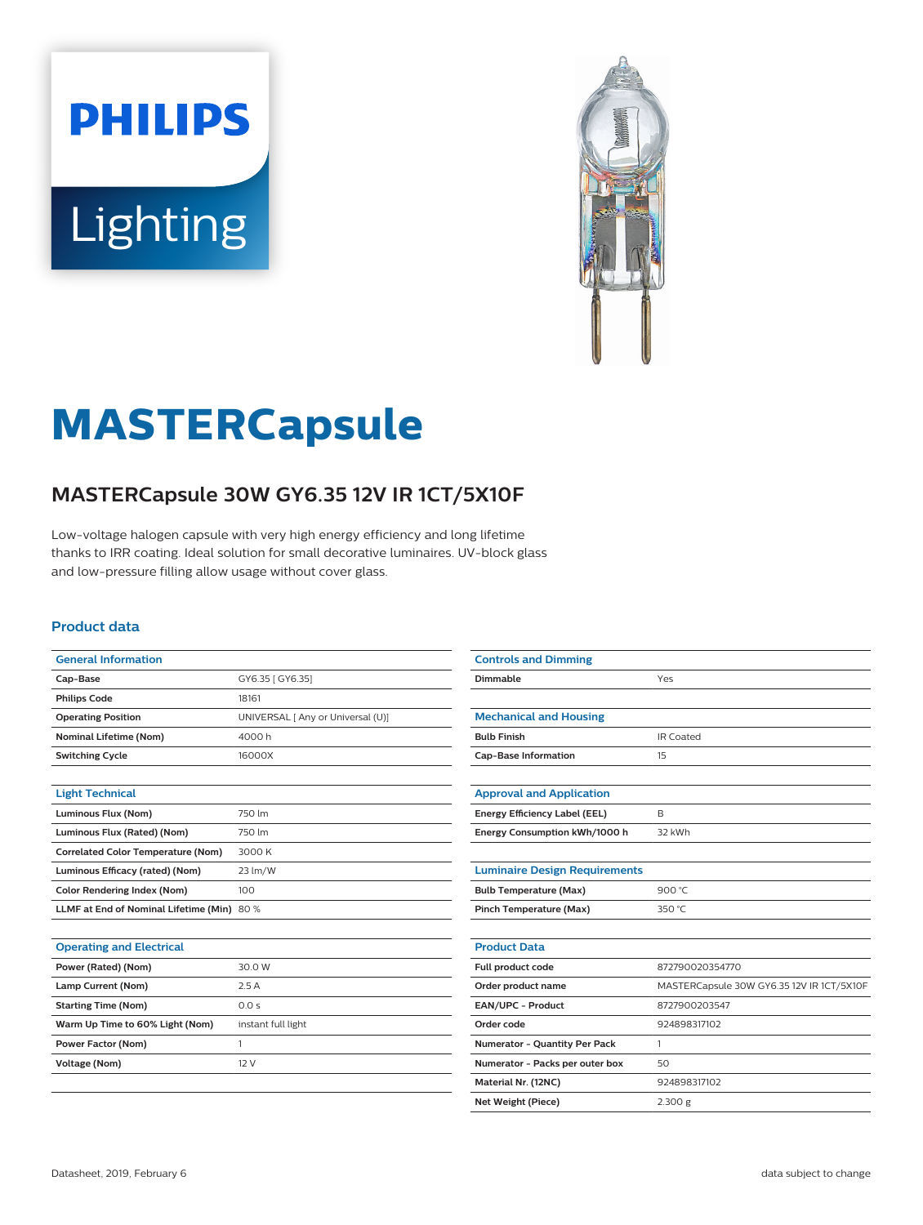



# **MASTERCapsule**

## **MASTERCapsule 30W GY6.35 12V IR 1CT/5X10F**

Low-voltage halogen capsule with very high energy efficiency and long lifetime thanks to IRR coating. Ideal solution for small decorative luminaires. UV-block glass and low-pressure filling allow usage without cover glass.

#### **Product data**

| <b>General Information</b>                 |                                   |
|--------------------------------------------|-----------------------------------|
| Cap-Base                                   | GY6.35 [ GY6.35]                  |
| <b>Philips Code</b>                        | 18161                             |
| <b>Operating Position</b>                  | UNIVERSAL [ Any or Universal (U)] |
| <b>Nominal Lifetime (Nom)</b>              | 4000h                             |
| <b>Switching Cycle</b>                     | 16000X                            |
|                                            |                                   |
| <b>Light Technical</b>                     |                                   |
| Luminous Flux (Nom)                        | 750 lm                            |
| Luminous Flux (Rated) (Nom)                | 750 lm                            |
| <b>Correlated Color Temperature (Nom)</b>  | 3000 K                            |
| Luminous Efficacy (rated) (Nom)            | 23 lm/W                           |
| <b>Color Rendering Index (Nom)</b>         | 100                               |
| LLMF at End of Nominal Lifetime (Min) 80 % |                                   |
|                                            |                                   |
| <b>Operating and Electrical</b>            |                                   |
| Power (Rated) (Nom)                        | 30.0 W                            |
| Lamp Current (Nom)                         | 2.5A                              |
| <b>Starting Time (Nom)</b>                 | 0.0 s                             |
| Warm Up Time to 60% Light (Nom)            | instant full light                |
| <b>Power Factor (Nom)</b>                  | 1                                 |
| <b>Voltage (Nom)</b>                       | 12 V                              |

| <b>Controls and Dimming</b>          |                                           |
|--------------------------------------|-------------------------------------------|
| Dimmable                             | Yes                                       |
|                                      |                                           |
| <b>Mechanical and Housing</b>        |                                           |
| <b>Bulb Finish</b>                   | <b>IR Coated</b>                          |
| <b>Cap-Base Information</b>          | 15                                        |
|                                      |                                           |
| <b>Approval and Application</b>      |                                           |
| Energy Efficiency Label (EEL)        | B                                         |
| Energy Consumption kWh/1000 h        | 32 kWh                                    |
|                                      |                                           |
| <b>Luminaire Design Requirements</b> |                                           |
| <b>Bulb Temperature (Max)</b>        | 900 °C                                    |
| Pinch Temperature (Max)              | 350 °C                                    |
|                                      |                                           |
| <b>Product Data</b>                  |                                           |
| Full product code                    | 872790020354770                           |
| Order product name                   | MASTERCapsule 30W GY6.35 12V IR 1CT/5X10F |
| EAN/UPC - Product                    | 8727900203547                             |
| Order code                           | 924898317102                              |
| Numerator - Quantity Per Pack        | 1                                         |
| Numerator - Packs per outer box      | 50                                        |
| Material Nr. (12NC)                  | 924898317102                              |
| Net Weight (Piece)                   | 2.300 g                                   |
|                                      |                                           |